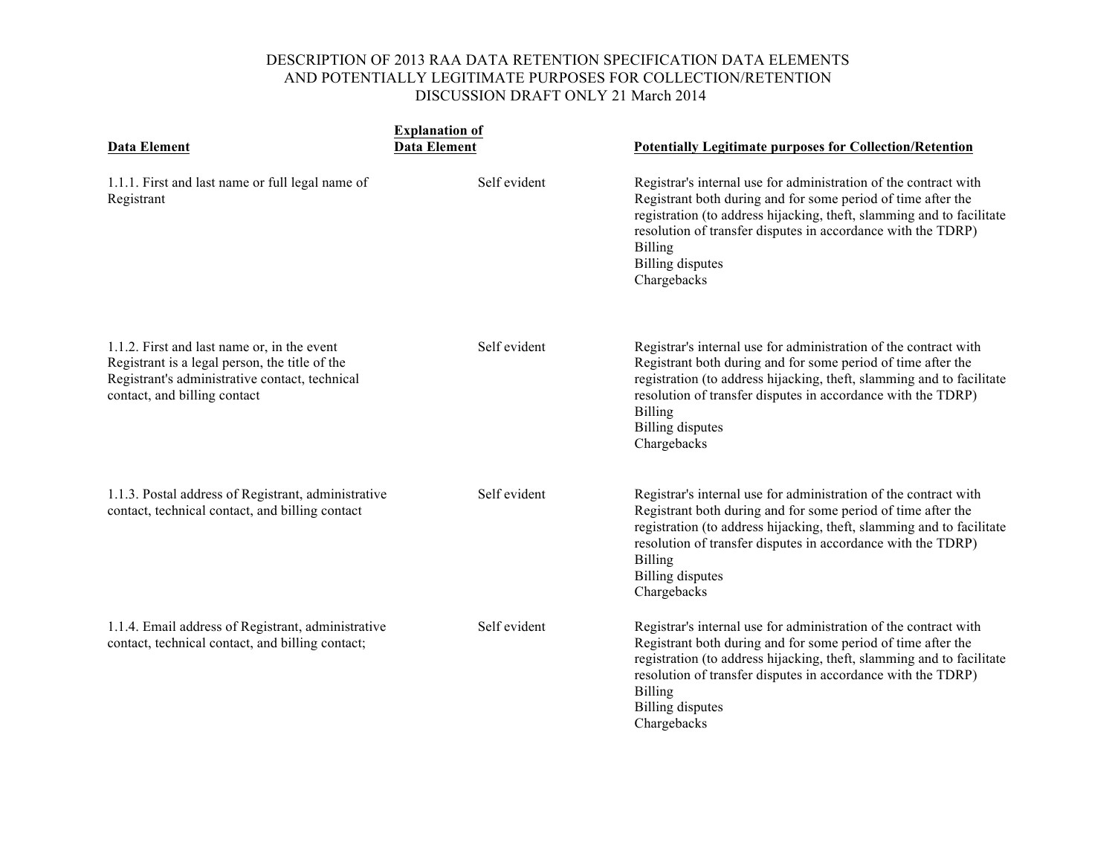|                                                                                                                                                                                 | <b>Explanation of</b> |                                                                                                                                                                                                                                                                                                                                       |
|---------------------------------------------------------------------------------------------------------------------------------------------------------------------------------|-----------------------|---------------------------------------------------------------------------------------------------------------------------------------------------------------------------------------------------------------------------------------------------------------------------------------------------------------------------------------|
| <b>Data Element</b>                                                                                                                                                             | <b>Data Element</b>   | <b>Potentially Legitimate purposes for Collection/Retention</b>                                                                                                                                                                                                                                                                       |
| 1.1.1. First and last name or full legal name of<br>Registrant                                                                                                                  | Self evident          | Registrar's internal use for administration of the contract with<br>Registrant both during and for some period of time after the<br>registration (to address hijacking, theft, slamming and to facilitate<br>resolution of transfer disputes in accordance with the TDRP)<br><b>Billing</b><br><b>Billing</b> disputes<br>Chargebacks |
| 1.1.2. First and last name or, in the event<br>Registrant is a legal person, the title of the<br>Registrant's administrative contact, technical<br>contact, and billing contact | Self evident          | Registrar's internal use for administration of the contract with<br>Registrant both during and for some period of time after the<br>registration (to address hijacking, theft, slamming and to facilitate<br>resolution of transfer disputes in accordance with the TDRP)<br><b>Billing</b><br><b>Billing</b> disputes<br>Chargebacks |
| 1.1.3. Postal address of Registrant, administrative<br>contact, technical contact, and billing contact                                                                          | Self evident          | Registrar's internal use for administration of the contract with<br>Registrant both during and for some period of time after the<br>registration (to address hijacking, theft, slamming and to facilitate<br>resolution of transfer disputes in accordance with the TDRP)<br><b>Billing</b><br><b>Billing</b> disputes<br>Chargebacks |
| 1.1.4. Email address of Registrant, administrative<br>contact, technical contact, and billing contact;                                                                          | Self evident          | Registrar's internal use for administration of the contract with<br>Registrant both during and for some period of time after the<br>registration (to address hijacking, theft, slamming and to facilitate<br>resolution of transfer disputes in accordance with the TDRP)<br><b>Billing</b><br><b>Billing</b> disputes<br>Chargebacks |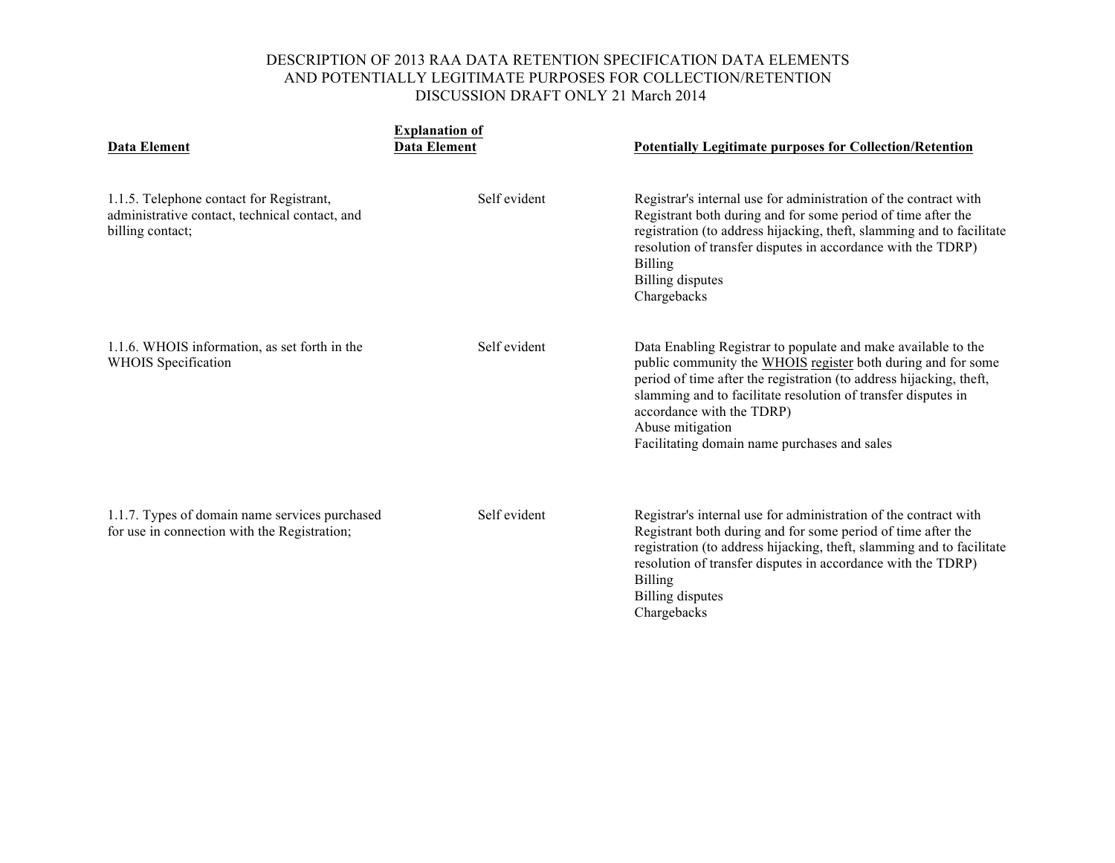| <b>Data Element</b>                                                                                            | <b>Explanation of</b><br><b>Data Element</b> | <b>Potentially Legitimate purposes for Collection/Retention</b>                                                                                                                                                                                                                                                                                                        |
|----------------------------------------------------------------------------------------------------------------|----------------------------------------------|------------------------------------------------------------------------------------------------------------------------------------------------------------------------------------------------------------------------------------------------------------------------------------------------------------------------------------------------------------------------|
| 1.1.5. Telephone contact for Registrant,<br>administrative contact, technical contact, and<br>billing contact; | Self evident                                 | Registrar's internal use for administration of the contract with<br>Registrant both during and for some period of time after the<br>registration (to address hijacking, theft, slamming and to facilitate<br>resolution of transfer disputes in accordance with the TDRP)<br><b>Billing</b><br><b>Billing</b> disputes<br>Chargebacks                                  |
| 1.1.6. WHOIS information, as set forth in the<br><b>WHOIS</b> Specification                                    | Self evident                                 | Data Enabling Registrar to populate and make available to the<br>public community the WHOIS register both during and for some<br>period of time after the registration (to address hijacking, theft,<br>slamming and to facilitate resolution of transfer disputes in<br>accordance with the TDRP)<br>Abuse mitigation<br>Facilitating domain name purchases and sales |
| 1.1.7. Types of domain name services purchased<br>for use in connection with the Registration;                 | Self evident                                 | Registrar's internal use for administration of the contract with<br>Registrant both during and for some period of time after the<br>registration (to address hijacking, theft, slamming and to facilitate<br>resolution of transfer disputes in accordance with the TDRP)<br><b>Billing</b><br>Billing disputes<br>Chargebacks                                         |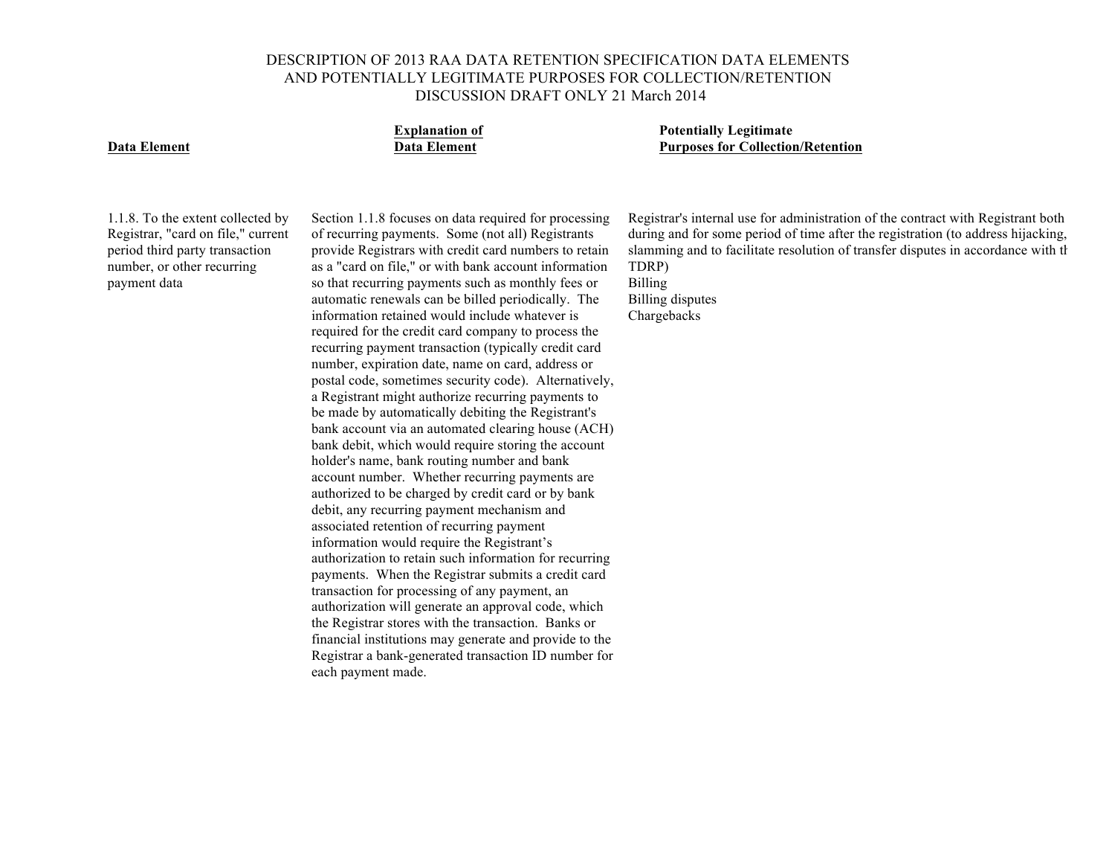

**Explanation of Potentially Legitimate Data Element Data Element Purposes for Collection/Retention**

1.1.8. To the extent collected by Registrar, "card on file," current period third party transaction number, or other recurring payment data

Section 1.1.8 focuses on data required for processing of recurring payments. Some (not all) Registrants provide Registrars with credit card numbers to retain as a "card on file," or with bank account information so that recurring payments such as monthly fees or automatic renewals can be billed periodically. The information retained would include whatever is required for the credit card company to process the recurring payment transaction (typically credit card number, expiration date, name on card, address or postal code, sometimes security code). Alternatively, a Registrant might authorize recurring payments to be made by automatically debiting the Registrant's bank account via an automated clearing house (ACH) bank debit, which would require storing the account holder's name, bank routing number and bank account number. Whether recurring payments are authorized to be charged by credit card or by bank debit, any recurring payment mechanism and associated retention of recurring payment information would require the Registrant's authorization to retain such information for recurring payments. When the Registrar submits a credit card transaction for processing of any payment, an authorization will generate an approval code, which the Registrar stores with the transaction. Banks or financial institutions may generate and provide to the Registrar a bank-generated transaction ID number for each payment made.

Registrar's internal use for administration of the contract with Registrant both during and for some period of time after the registration (to address hijacking, slamming and to facilitate resolution of transfer disputes in accordance with the TDRP)

Billing Billing disputes Chargebacks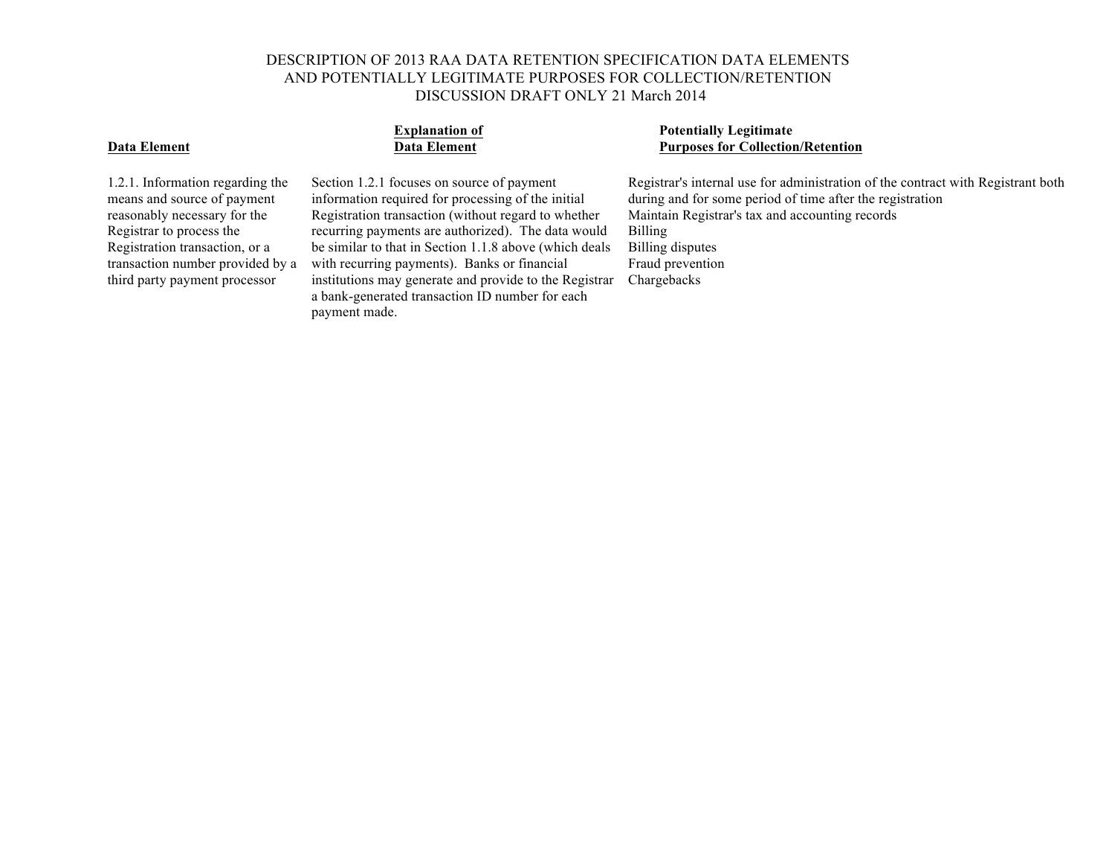1.2.1. Information regarding the means and source of payment reasonably necessary for the Registrar to process the Registration transaction, or a transaction number provided by a third party payment processor

Section 1.2.1 focuses on source of payment information required for processing of the initial Registration transaction (without regard to whether recurring payments are authorized). The data would be similar to that in Section 1.1.8 above (which deals with recurring payments). Banks or financial institutions may generate and provide to the Registrar Chargebacksa bank-generated transaction ID number for each payment made.

## **Explanation of Potentially Legitimate Data Element Collection Collection Purposes for Collection/Retention**

Registrar's internal use for administration of the contract with Registrant both during and for some period of time after the registration Maintain Registrar's tax and accounting records Billing Billing disputes Fraud prevention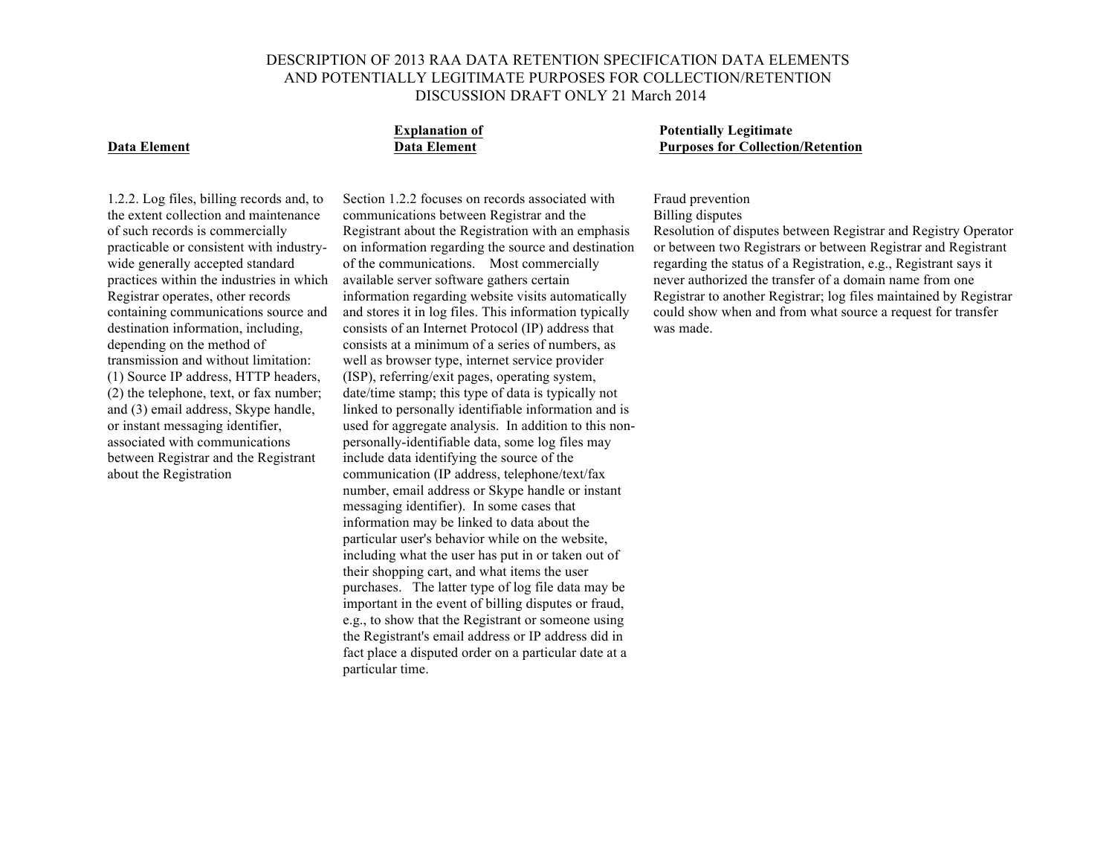particular time.

Section 1.2.2 focuses on records associated with communications between Registrar and the Registrant about the Registration with an emphasis on information regarding the source and destination of the communications. Most commercially available server software gathers certain

information regarding website visits automatically and stores it in log files. This information typically consists of an Internet Protocol (IP) address that consists at a minimum of a series of numbers, as well as browser type, internet service provider (ISP), referring/exit pages, operating system, date/time stamp; this type of data is typically not linked to personally identifiable information and is used for aggregate analysis. In addition to this nonpersonally-identifiable data, some log files may include data identifying the source of the communication (IP address, telephone/text/fax number, email address or Skype handle or instant messaging identifier). In some cases that information may be linked to data about the particular user's behavior while on the website, including what the user has put in or taken out of their shopping cart, and what items the user purchases. The latter type of log file data may be important in the event of billing disputes or fraud, e.g., to show that the Registrant or someone using the Registrant's email address or IP address did in fact place a disputed order on a particular date at a

**Explanation of Potentially Legitimate Data Element Data Element Purposes for Collection/Retention**

## Fraud prevention

## Billing disputes

Resolution of disputes between Registrar and Registry Operator or between two Registrars or between Registrar and Registrant regarding the status of a Registration, e.g., Registrant says it never authorized the transfer of a domain name from one Registrar to another Registrar; log files maintained by Registrar could show when and from what source a request for transfer was made.

1.2.2. Log files, billing records and, to the extent collection and maintenance of such records is commercially practicable or consistent with industrywide generally accepted standard practices within the industries in which Registrar operates, other records containing communications source and destination information, including, depending on the method of transmission and without limitation: (1) Source IP address, HTTP headers, (2) the telephone, text, or fax number; and (3) email address, Skype handle, or instant messaging identifier, associated with communications between Registrar and the Registrant about the Registration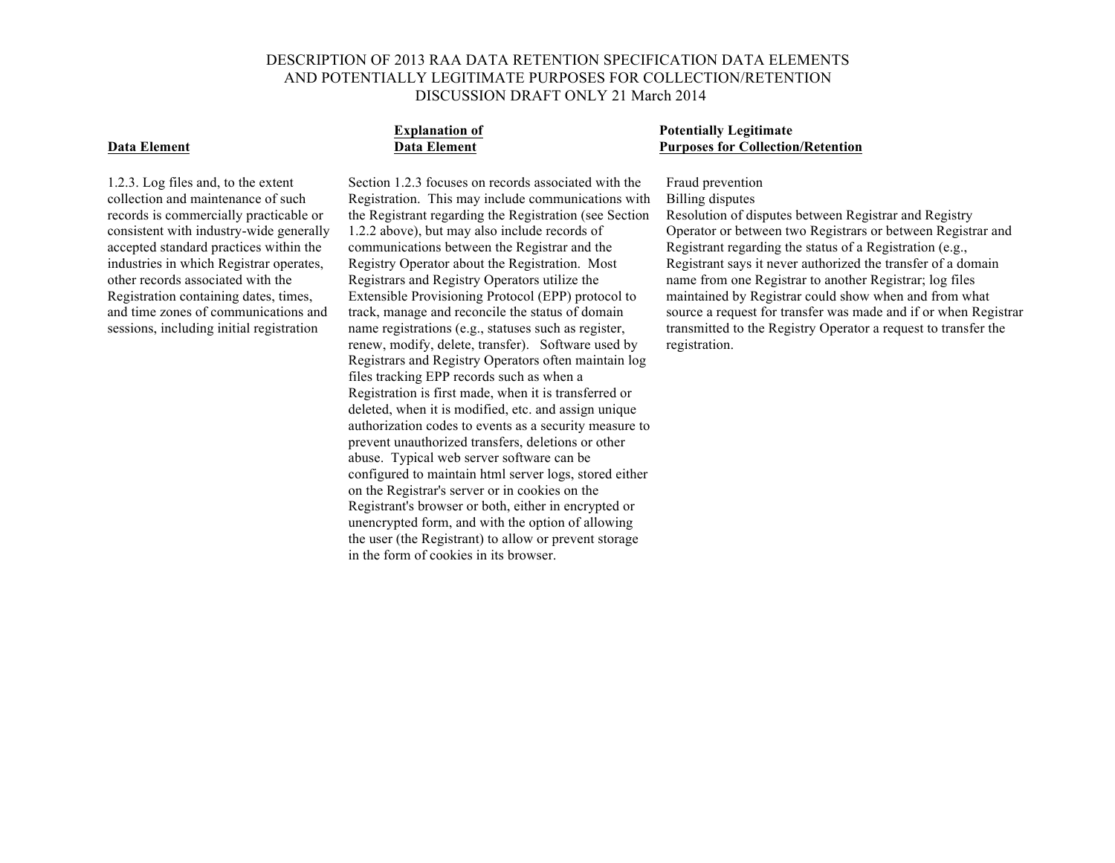1.2.3. Log files and, to the extent collection and maintenance of such records is commercially practicable or consistent with industry-wide generally accepted standard practices within the industries in which Registrar operates, other records associated with the Registration containing dates, times, and time zones of communications and sessions, including initial registration

Section 1.2.3 focuses on records associated with the Registration. This may include communications with the Registrant regarding the Registration (see Section 1.2.2 above), but may also include records of communications between the Registrar and the Registry Operator about the Registration. Most Registrars and Registry Operators utilize the Extensible Provisioning Protocol (EPP) protocol to track, manage and reconcile the status of domain name registrations (e.g., statuses such as register, renew, modify, delete, transfer). Software used by Registrars and Registry Operators often maintain log files tracking EPP records such as when a Registration is first made, when it is transferred or deleted, when it is modified, etc. and assign unique authorization codes to events as a security measure to prevent unauthorized transfers, deletions or other abuse. Typical web server software can be configured to maintain html server logs, stored either on the Registrar's server or in cookies on the Registrant's browser or both, either in encrypted or unencrypted form, and with the option of allowing the user (the Registrant) to allow or prevent storage in the form of cookies in its browser.

## **Explanation of Potentially Legitimate Data Element Data Element Purposes for Collection/Retention**

## Fraud prevention Billing disputes

Resolution of disputes between Registrar and Registry Operator or between two Registrars or between Registrar and Registrant regarding the status of a Registration (e.g., Registrant says it never authorized the transfer of a domain name from one Registrar to another Registrar; log files maintained by Registrar could show when and from what source a request for transfer was made and if or when Registrar transmitted to the Registry Operator a request to transfer the registration.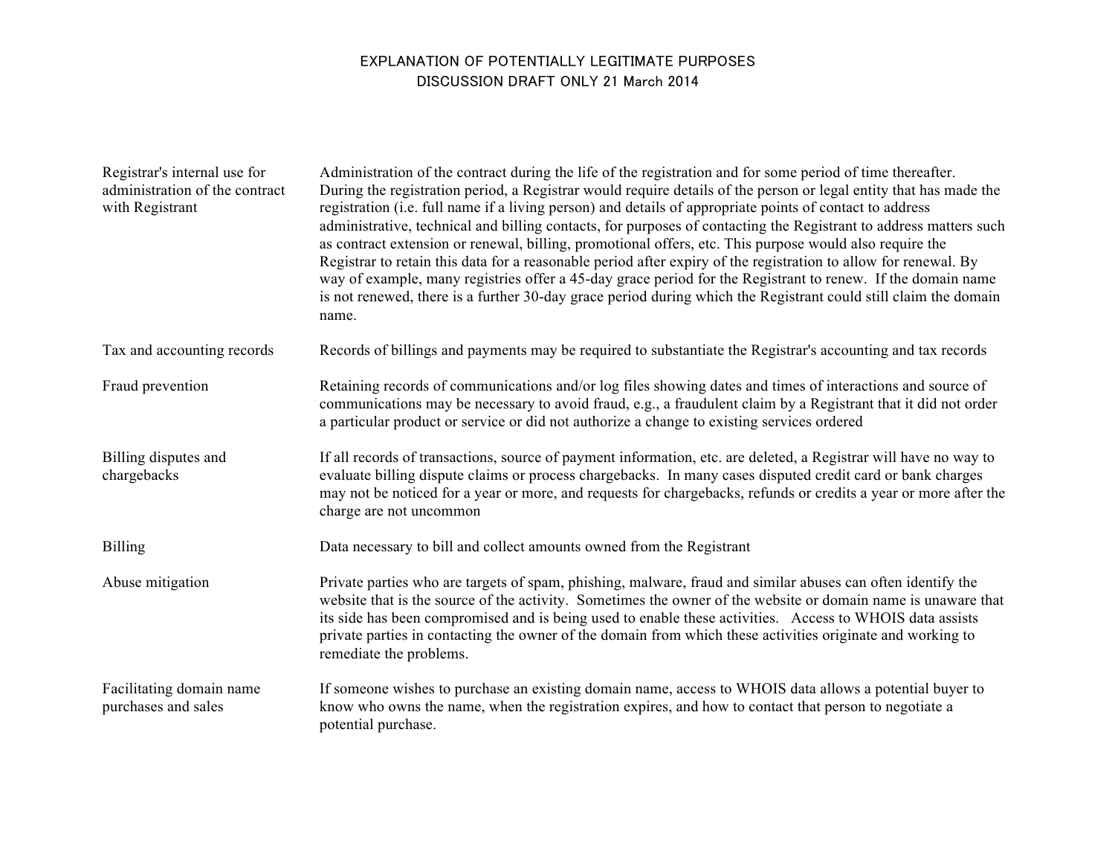# EXPLANATION OF POTENTIALLY LEGITIMATE PURPOSES DISCUSSION DRAFT ONLY 21 March 2014

| Registrar's internal use for<br>administration of the contract<br>with Registrant | Administration of the contract during the life of the registration and for some period of time thereafter.<br>During the registration period, a Registrar would require details of the person or legal entity that has made the<br>registration (i.e. full name if a living person) and details of appropriate points of contact to address<br>administrative, technical and billing contacts, for purposes of contacting the Registrant to address matters such<br>as contract extension or renewal, billing, promotional offers, etc. This purpose would also require the<br>Registrar to retain this data for a reasonable period after expiry of the registration to allow for renewal. By<br>way of example, many registries offer a 45-day grace period for the Registrant to renew. If the domain name<br>is not renewed, there is a further 30-day grace period during which the Registrant could still claim the domain<br>name. |
|-----------------------------------------------------------------------------------|-------------------------------------------------------------------------------------------------------------------------------------------------------------------------------------------------------------------------------------------------------------------------------------------------------------------------------------------------------------------------------------------------------------------------------------------------------------------------------------------------------------------------------------------------------------------------------------------------------------------------------------------------------------------------------------------------------------------------------------------------------------------------------------------------------------------------------------------------------------------------------------------------------------------------------------------|
| Tax and accounting records                                                        | Records of billings and payments may be required to substantiate the Registrar's accounting and tax records                                                                                                                                                                                                                                                                                                                                                                                                                                                                                                                                                                                                                                                                                                                                                                                                                               |
| Fraud prevention                                                                  | Retaining records of communications and/or log files showing dates and times of interactions and source of<br>communications may be necessary to avoid fraud, e.g., a fraudulent claim by a Registrant that it did not order<br>a particular product or service or did not authorize a change to existing services ordered                                                                                                                                                                                                                                                                                                                                                                                                                                                                                                                                                                                                                |
| Billing disputes and<br>chargebacks                                               | If all records of transactions, source of payment information, etc. are deleted, a Registrar will have no way to<br>evaluate billing dispute claims or process chargebacks. In many cases disputed credit card or bank charges<br>may not be noticed for a year or more, and requests for chargebacks, refunds or credits a year or more after the<br>charge are not uncommon                                                                                                                                                                                                                                                                                                                                                                                                                                                                                                                                                             |
| Billing                                                                           | Data necessary to bill and collect amounts owned from the Registrant                                                                                                                                                                                                                                                                                                                                                                                                                                                                                                                                                                                                                                                                                                                                                                                                                                                                      |
| Abuse mitigation                                                                  | Private parties who are targets of spam, phishing, malware, fraud and similar abuses can often identify the<br>website that is the source of the activity. Sometimes the owner of the website or domain name is unaware that<br>its side has been compromised and is being used to enable these activities. Access to WHOIS data assists<br>private parties in contacting the owner of the domain from which these activities originate and working to<br>remediate the problems.                                                                                                                                                                                                                                                                                                                                                                                                                                                         |
| Facilitating domain name<br>purchases and sales                                   | If someone wishes to purchase an existing domain name, access to WHOIS data allows a potential buyer to<br>know who owns the name, when the registration expires, and how to contact that person to negotiate a<br>potential purchase.                                                                                                                                                                                                                                                                                                                                                                                                                                                                                                                                                                                                                                                                                                    |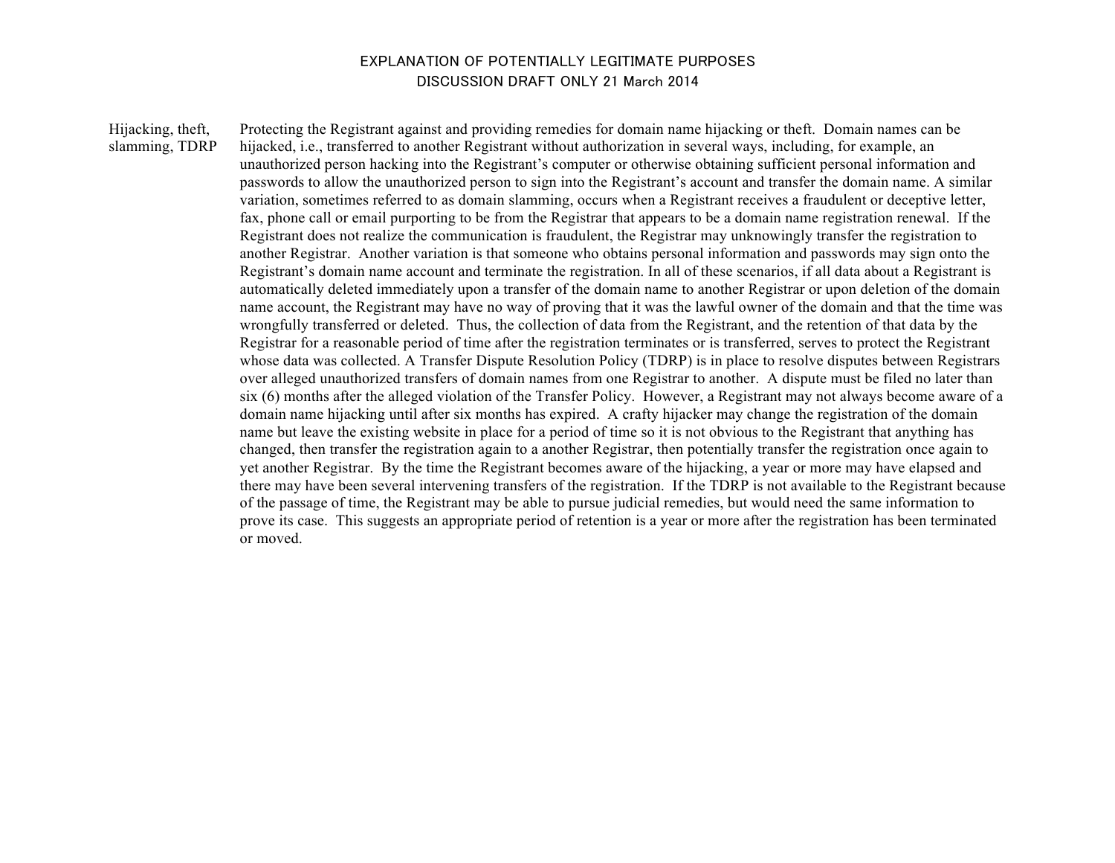## EXPLANATION OF POTENTIALLY LEGITIMATE PURPOSES DISCUSSION DRAFT ONLY 21 March 2014

Hijacking, theft, slamming, TDRP

Protecting the Registrant against and providing remedies for domain name hijacking or theft. Domain names can be hijacked, i.e., transferred to another Registrant without authorization in several ways, including, for example, an unauthorized person hacking into the Registrant's computer or otherwise obtaining sufficient personal information and passwords to allow the unauthorized person to sign into the Registrant's account and transfer the domain name. A similar variation, sometimes referred to as domain slamming, occurs when a Registrant receives a fraudulent or deceptive letter, fax, phone call or email purporting to be from the Registrar that appears to be a domain name registration renewal. If the Registrant does not realize the communication is fraudulent, the Registrar may unknowingly transfer the registration to another Registrar. Another variation is that someone who obtains personal information and passwords may sign onto the Registrant's domain name account and terminate the registration. In all of these scenarios, if all data about a Registrant is automatically deleted immediately upon a transfer of the domain name to another Registrar or upon deletion of the domain name account, the Registrant may have no way of proving that it was the lawful owner of the domain and that the time was wrongfully transferred or deleted. Thus, the collection of data from the Registrant, and the retention of that data by the Registrar for a reasonable period of time after the registration terminates or is transferred, serves to protect the Registrant whose data was collected. A Transfer Dispute Resolution Policy (TDRP) is in place to resolve disputes between Registrars over alleged unauthorized transfers of domain names from one Registrar to another. A dispute must be filed no later than six (6) months after the alleged violation of the Transfer Policy. However, a Registrant may not always become aware of a domain name hijacking until after six months has expired. A crafty hijacker may change the registration of the domain name but leave the existing website in place for a period of time so it is not obvious to the Registrant that anything has changed, then transfer the registration again to a another Registrar, then potentially transfer the registration once again to yet another Registrar. By the time the Registrant becomes aware of the hijacking, a year or more may have elapsed and there may have been several intervening transfers of the registration. If the TDRP is not available to the Registrant because of the passage of time, the Registrant may be able to pursue judicial remedies, but would need the same information to prove its case. This suggests an appropriate period of retention is a year or more after the registration has been terminated or moved.